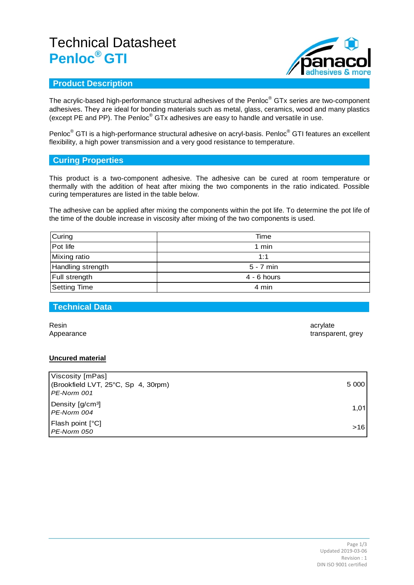# Technical Datasheet **Penloc® GTI**



### **Product Description**

The acrylic-based high-performance structural adhesives of the Penloc® GTx series are two-component adhesives. They are ideal for bonding materials such as metal, glass, ceramics, wood and many plastics (except PE and PP). The Penloc® GTx adhesives are easy to handle and versatile in use.

Penloc<sup>®</sup> GTI is a high-performance structural adhesive on acryl-basis. Penloc<sup>®</sup> GTI features an excellent flexibility, a high power transmission and a very good resistance to temperature.

### **Curing Properties**

This product is a two-component adhesive. The adhesive can be cured at room temperature or thermally with the addition of heat after mixing the two components in the ratio indicated. Possible curing temperatures are listed in the table below.

The adhesive can be applied after mixing the components within the pot life. To determine the pot life of the time of the double increase in viscosity after mixing of the two components is used.

| Curing               | Time          |  |
|----------------------|---------------|--|
| Pot life             | 1 min         |  |
| <b>Mixing ratio</b>  | 1:1           |  |
| Handling strength    | $5 - 7$ min   |  |
| <b>Full strength</b> | $4 - 6$ hours |  |
| Setting Time         | 4 min         |  |

#### **Technical Data**

Resin acrylate that the control of the control of the control of the control of the control of the control of the control of the control of the control of the control of the control of the control of the control of the con

Appearance transparent, grey

#### **Uncured material**

| Viscosity [mPas]                                     |       |
|------------------------------------------------------|-------|
| (Brookfield LVT, 25°C, Sp 4, 30rpm)<br>l PE-Norm 001 | 5 000 |
| Density [g/cm <sup>3</sup> ]<br>l PE-Norm 004        | 1.01  |
| Flash point [°C]<br>PE-Norm 050                      | $>16$ |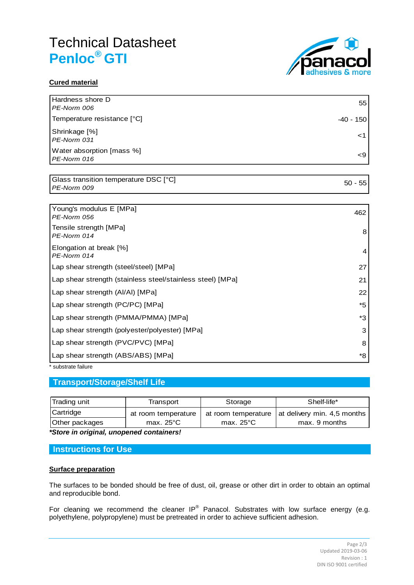# Technical Datasheet **Penloc® GTI**



### **Cured material**

| Hardness shore D<br>PE-Norm 006          | 55        |
|------------------------------------------|-----------|
| Temperature resistance [°C]              | -40 - 150 |
| Shrinkage [%]<br>PE-Norm 031             |           |
| Water absorption [mass %]<br>PE-Norm 016 | <9        |

Glass transition temperature DSC [°C] *PE-Norm 009* 50 - 55

| Young's modulus E [MPa]<br>PE-Norm 056                     | 462 |
|------------------------------------------------------------|-----|
| Tensile strength [MPa]<br>PE-Norm 014                      | 8   |
| Elongation at break [%]<br>PE-Norm 014                     | 4   |
| Lap shear strength (steel/steel) [MPa]                     | 27  |
| Lap shear strength (stainless steel/stainless steel) [MPa] | 21  |
| Lap shear strength (AI/AI) [MPa]                           | 22  |
| Lap shear strength (PC/PC) [MPa]                           | *5  |
| Lap shear strength (PMMA/PMMA) [MPa]                       | *3  |
| Lap shear strength (polyester/polyester) [MPa]             | 3   |
| Lap shear strength (PVC/PVC) [MPa]                         | 8   |
| Lap shear strength (ABS/ABS) [MPa]                         | *8  |

\* substrate failure

## **Transport/Storage/Shelf Life**

|                | Transport            | Storage             | Shelf-life*                                       |
|----------------|----------------------|---------------------|---------------------------------------------------|
| Cartridge      | at room temperature  |                     | at room temperature   at delivery min. 4,5 months |
| Other packages | max. 25 $^{\circ}$ C | max. $25^{\circ}$ C | max. 9 months                                     |

*\*Store in original, unopened containers!*

#### **Instructions for Use**

#### **Surface preparation**

The surfaces to be bonded should be free of dust, oil, grease or other dirt in order to obtain an optimal and reproducible bond.

For cleaning we recommend the cleaner IP® Panacol. Substrates with low surface energy (e.g. polyethylene, polypropylene) must be pretreated in order to achieve sufficient adhesion.